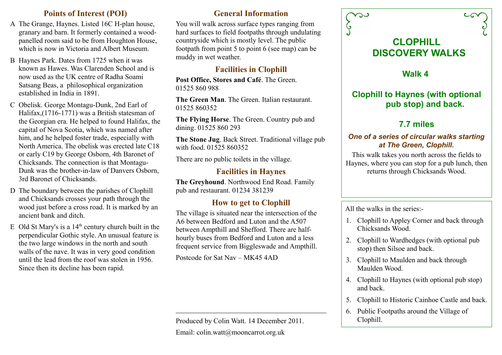#### **Points of Interest (POI)**

- A The Grange, Haynes. Listed 16C H-plan house, granary and barn. It formerly contained a woodpanelled room said to be from Houghton House, which is now in Victoria and Albert Museum.
- B Haynes Park. Dates from 1725 when it was known as Hawes. Was Clarenden School and is now used as the UK centre of Radha Soami Satsang Beas, a philosophical organization established in India in 1891.
- C Obelisk. George Montagu-Dunk, 2nd Earl of Halifax,(1716-1771) was a British statesman of the Georgian era. He helped to found Halifax, the capital of Nova Scotia, which was named after him, and he helped foster trade, especially with North America. The obelisk was erected late C18 or early C19 by George Osborn, 4th Baronet of Chicksands. The connection is that Montagu-Dunk was the brother-in-law of Danvers Osborn, 3rd Baronet of Chicksands.
- D The boundary between the parishes of Clophill and Chicksands crosses your path through the wood just before a cross road. It is marked by an ancient bank and ditch.
- E Old St Mary's is a  $14<sup>th</sup>$  century church built in the perpendicular Gothic style. An unusual feature is the two large windows in the north and south walls of the nave. It was in very good condition until the lead from the roof was stolen in 1956. Since then its decline has been rapid.

#### **General Information**

You will walk across surface types ranging from hard surfaces to field footpaths through undulating countryside which is mostly level. The public footpath from point 5 to point 6 (see map) can be muddy in wet weather.

## **Facilities in Clophill**

Post Office, Stores and Café. The Green. 01525 860 988

**The Green Man**. The Green. Italian restaurant. 01525 860352

**The Flying Horse**. The Green. Country pub and dining. 01525 860 293

**The Stone Jug**. Back Street. Traditional village pub with food. 01525 860352.

There are no public toilets in the village.

### **Facilities in Haynes**

**The Greyhound**. Northwood End Road. Family pub and restaurant. 01234 381239

### **How to get to Clophill**

The village is situated near the intersection of the A6 between Bedford and Luton and the A507 between Ampthill and Shefford. There are halfhourly buses from Bedford and Luton and a less frequent service from Biggleswade and Ampthill.

Postcode for Sat Nav – MK45 4AD

Produced by Colin Watt. 14 December 2011. Email: colin.watt@mooncarrot.org.uk



**Walk 4** 

# **Clophill to Haynes (with optional pub stop) and back.**

# **7.7 miles**

#### *One of a series of circular walks starting at The Green, Clophill.*

This walk takes you north across the fields to Haynes, where you can stop for a pub lunch, then returns through Chicksands Wood.

All the walks in the series:-

- 1. Clophill to Appley Corner and back through Chicksands Wood.
- 2. Clophill to Wardhedges (with optional pub stop) then Silsoe and back.
- 3. Clophill to Maulden and back through Maulden Wood.
- 4. Clophill to Haynes (with optional pub stop) and back.
- 5. Clophill to Historic Cainhoe Castle and back.
- 6. Public Footpaths around the Village of Clophill.